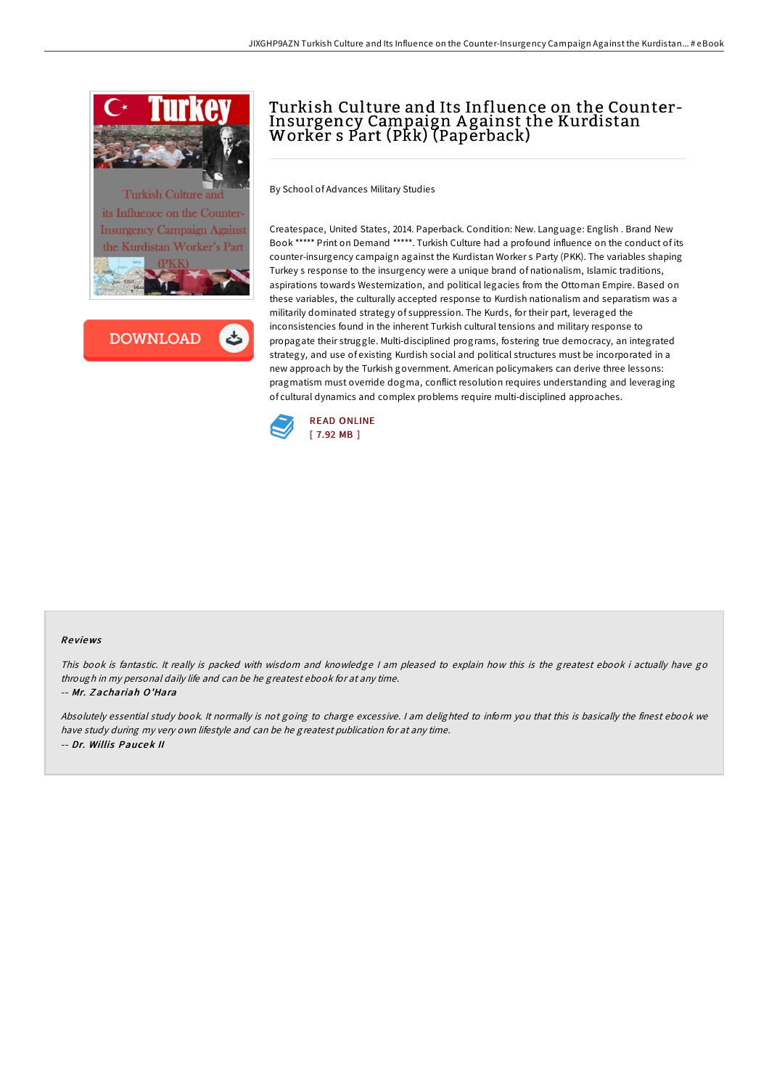



# Turkish Culture and Its Influence on the Counter-Insurgency Campaign A gainst the Kurdistan Worker s Part (Pkk) (Paperback)

By School of Advances Military Studies

Createspace, United States, 2014. Paperback. Condition: New. Language: English . Brand New Book \*\*\*\*\* Print on Demand \*\*\*\*\*. Turkish Culture had a profound influence on the conduct of its counter-insurgency campaign against the Kurdistan Worker s Party (PKK). The variables shaping Turkey s response to the insurgency were a unique brand of nationalism, Islamic traditions, aspirations towards Westernization, and political legacies from the Ottoman Empire. Based on these variables, the culturally accepted response to Kurdish nationalism and separatism was a militarily dominated strategy of suppression. The Kurds, for their part, leveraged the inconsistencies found in the inherent Turkish cultural tensions and military response to propagate their struggle. Multi-disciplined programs, fostering true democracy, an integrated strategy, and use of existing Kurdish social and political structures must be incorporated in a new approach by the Turkish government. American policymakers can derive three lessons: pragmatism must override dogma, conflict resolution requires understanding and leveraging of cultural dynamics and complex problems require multi-disciplined approaches.



#### Re views

This book is fantastic. It really is packed with wisdom and knowledge <sup>I</sup> am pleased to explain how this is the greatest ebook i actually have go through in my personal daily life and can be he greatest ebook for at any time. -- Mr. Z achariah O'Hara

Absolutely essential study book. It normally is not going to charge excessive. <sup>I</sup> am delighted to inform you that this is basically the finest ebook we have study during my very own lifestyle and can be he greatest publication for at any time. -- Dr. Willis Paucek II